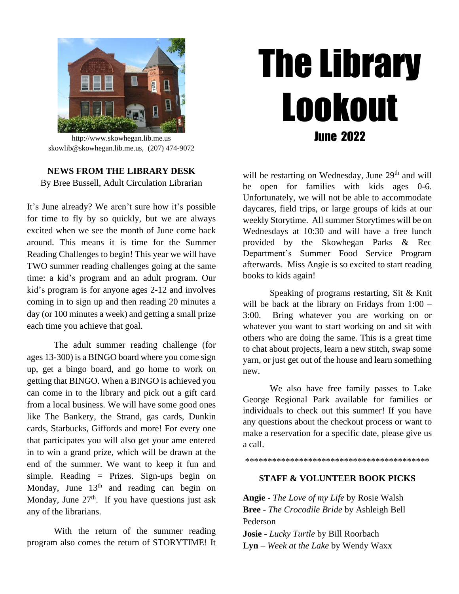

http://www.skowhegan.lib.me.us skowlib@skowhegan.lib.me.us, (207) 474-9072

**NEWS FROM THE LIBRARY DESK** By Bree Bussell, Adult Circulation Librarian

It's June already? We aren't sure how it's possible for time to fly by so quickly, but we are always excited when we see the month of June come back around. This means it is time for the Summer Reading Challenges to begin! This year we will have TWO summer reading challenges going at the same time: a kid's program and an adult program. Our kid's program is for anyone ages 2-12 and involves coming in to sign up and then reading 20 minutes a day (or 100 minutes a week) and getting a small prize each time you achieve that goal.

The adult summer reading challenge (for ages 13-300) is a BINGO board where you come sign up, get a bingo board, and go home to work on getting that BINGO. When a BINGO is achieved you can come in to the library and pick out a gift card from a local business. We will have some good ones like The Bankery, the Strand, gas cards, Dunkin cards, Starbucks, Giffords and more! For every one that participates you will also get your ame entered in to win a grand prize, which will be drawn at the end of the summer. We want to keep it fun and simple. Reading = Prizes. Sign-ups begin on Monday, June  $13<sup>th</sup>$  and reading can begin on Monday, June  $27<sup>th</sup>$ . If you have questions just ask any of the librarians.

With the return of the summer reading program also comes the return of STORYTIME! It

# The Library Lookout June 2022

will be restarting on Wednesday, June  $29<sup>th</sup>$  and will be open for families with kids ages 0-6. Unfortunately, we will not be able to accommodate daycares, field trips, or large groups of kids at our weekly Storytime. All summer Storytimes will be on Wednesdays at 10:30 and will have a free lunch provided by the Skowhegan Parks & Rec Department's Summer Food Service Program afterwards. Miss Angie is so excited to start reading books to kids again!

Speaking of programs restarting, Sit & Knit will be back at the library on Fridays from  $1:00 -$ 3:00. Bring whatever you are working on or whatever you want to start working on and sit with others who are doing the same. This is a great time to chat about projects, learn a new stitch, swap some yarn, or just get out of the house and learn something new.

We also have free family passes to Lake George Regional Park available for families or individuals to check out this summer! If you have any questions about the checkout process or want to make a reservation for a specific date, please give us a call.

\*\*\*\*\*\*\*\*\*\*\*\*\*\*\*\*\*\*\*\*\*\*\*\*\*\*\*\*\*\*\*\*\*\*\*\*\*\*\*\*\*

## **STAFF & VOLUNTEER BOOK PICKS**

**Angie** - *The Love of my Life* by Rosie Walsh **Bree** - *The Crocodile Bride* by Ashleigh Bell Pederson

**Josie** - *Lucky Turtle* by Bill Roorbach **Lyn** – *Week at the Lake* by Wendy Waxx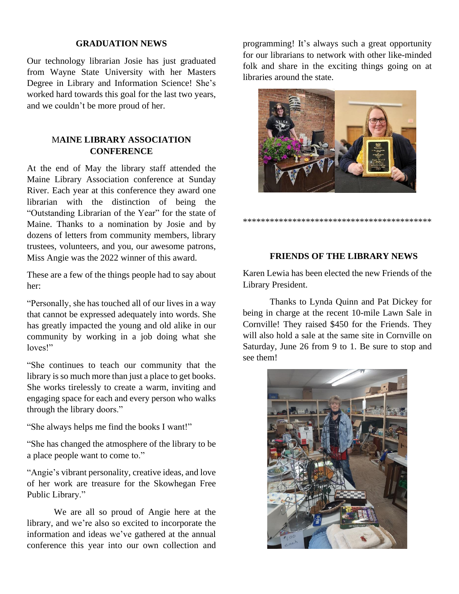### **GRADUATION NEWS**

Our technology librarian Josie has just graduated from Wayne State University with her Masters Degree in Library and Information Science! She's worked hard towards this goal for the last two years, and we couldn't be more proud of her.

## M**AINE LIBRARY ASSOCIATION CONFERENCE**

At the end of May the library staff attended the Maine Library Association conference at Sunday River. Each year at this conference they award one librarian with the distinction of being the "Outstanding Librarian of the Year" for the state of Maine. Thanks to a nomination by Josie and by dozens of letters from community members, library trustees, volunteers, and you, our awesome patrons, Miss Angie was the 2022 winner of this award.

These are a few of the things people had to say about her:

"Personally, she has touched all of our lives in a way that cannot be expressed adequately into words. She has greatly impacted the young and old alike in our community by working in a job doing what she loves!"

"She continues to teach our community that the library is so much more than just a place to get books. She works tirelessly to create a warm, inviting and engaging space for each and every person who walks through the library doors."

"She always helps me find the books I want!"

"She has changed the atmosphere of the library to be a place people want to come to."

"Angie's vibrant personality, creative ideas, and love of her work are treasure for the Skowhegan Free Public Library."

We are all so proud of Angie here at the library, and we're also so excited to incorporate the information and ideas we've gathered at the annual conference this year into our own collection and

programming! It's always such a great opportunity for our librarians to network with other like-minded folk and share in the exciting things going on at libraries around the state.



### **FRIENDS OF THE LIBRARY NEWS**

\*\*\*\*\*\*\*\*\*\*\*\*\*\*\*\*\*\*\*\*\*\*\*\*\*\*\*\*\*\*\*\*\*\*\*\*\*\*\*\*\*\*

Karen Lewia has been elected the new Friends of the Library President.

Thanks to Lynda Quinn and Pat Dickey for being in charge at the recent 10-mile Lawn Sale in Cornville! They raised \$450 for the Friends. They will also hold a sale at the same site in Cornville on Saturday, June 26 from 9 to 1. Be sure to stop and see them!

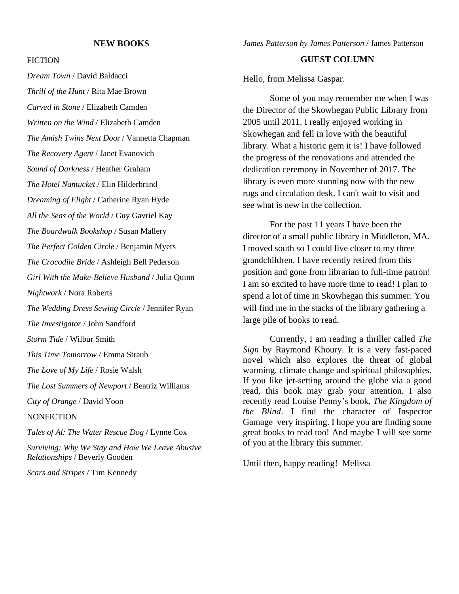#### **NEW BOOKS**

#### **FICTION**

*Dream Town* / David Baldacci *Thrill of the Hunt* / Rita Mae Brown *Carved in Stone* / Elizabeth Camden *Written on the Wind* / Elizabeth Camden *The Amish Twins Next Doo*r / Vannetta Chapman *The Recovery Agent* / Janet Evanovich *Sound of Darkness* / Heather Graham *The Hotel Nantucket* / Elin Hilderbrand *Dreaming of Flight* / Catherine Ryan Hyde *All the Seas of the World* / Guy Gavriel Kay *The Boardwalk Bookshop* / Susan Mallery *The Perfect Golden Circle* / Benjamin Myers *The Crocodile Bride* / Ashleigh Bell Pederson *Girl With the Make-Believe Husband* / Julia Quinn *Nightwork* / Nora Roberts *The Wedding Dress Sewing Circle* / Jennifer Ryan *The Investigator* / John Sandford *Storm Tide* / Wilbur Smith *This Time Tomorrow* / Emma Straub *The Love of My Life* / Rosie Walsh *The Lost Summers of Newport* / Beatriz Williams *City of Orange* / David Yoon **NONFICTION** *Tales of Al: The Water Rescue Dog* / Lynne Cox *Surviving: Why We Stay and How We Leave Abusive Relationships* / Beverly Gooden *Scars and Stripes* / Tim Kennedy

*James Patterson by James Patterson* / James Patterson

### **GUEST COLUMN**

Hello, from Melissa Gaspar.

Some of you may remember me when I was the Director of the Skowhegan Public Library from 2005 until 2011. I really enjoyed working in Skowhegan and fell in love with the beautiful library. What a historic gem it is! I have followed the progress of the renovations and attended the dedication ceremony in November of 2017. The library is even more stunning now with the new rugs and circulation desk. I can't wait to visit and see what is new in the collection.

For the past 11 years I have been the director of a small public library in Middleton, MA. I moved south so I could live closer to my three grandchildren. I have recently retired from this position and gone from librarian to full-time patron! I am so excited to have more time to read! I plan to spend a lot of time in Skowhegan this summer. You will find me in the stacks of the library gathering a large pile of books to read.

Currently, I am reading a thriller called *The Sign* by Raymond Khoury. It is a very fast-paced novel which also explores the threat of global warming, climate change and spiritual philosophies. If you like jet-setting around the globe via a good read, this book may grab your attention. I also recently read Louise Penny's book, *The Kingdom of the Blind*. I find the character of Inspector Gamage very inspiring. I hope you are finding some great books to read too! And maybe I will see some of you at the library this summer.

Until then, happy reading! Melissa